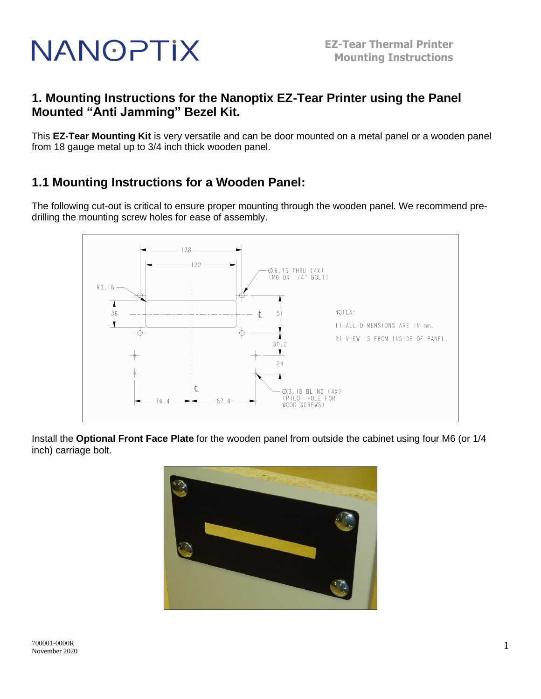### **1. Mounting Instructions for the Nanoptix EZ-Tear Printer using the Panel Mounted "Anti Jamming" Bezel Kit.**

This **EZ-Tear Mounting Kit** is very versatile and can be door mounted on a metal panel or a wooden panel from 18 gauge metal up to 3/4 inch thick wooden panel.

### **1.1 Mounting Instructions for a Wooden Panel:**

The following cut-out is critical to ensure proper mounting through the wooden panel. We recommend predrilling the mounting screw holes for ease of assembly.



Install the **Optional Front Face Plate** for the wooden panel from outside the cabinet using four M6 (or 1/4 inch) carriage bolt.

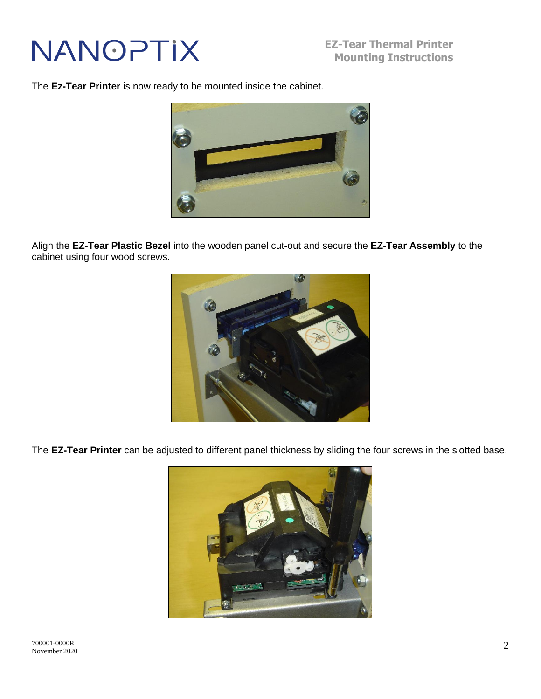The **Ez-Tear Printer** is now ready to be mounted inside the cabinet.



Align the **EZ-Tear Plastic Bezel** into the wooden panel cut-out and secure the **EZ-Tear Assembly** to the cabinet using four wood screws.



The **EZ-Tear Printer** can be adjusted to different panel thickness by sliding the four screws in the slotted base.

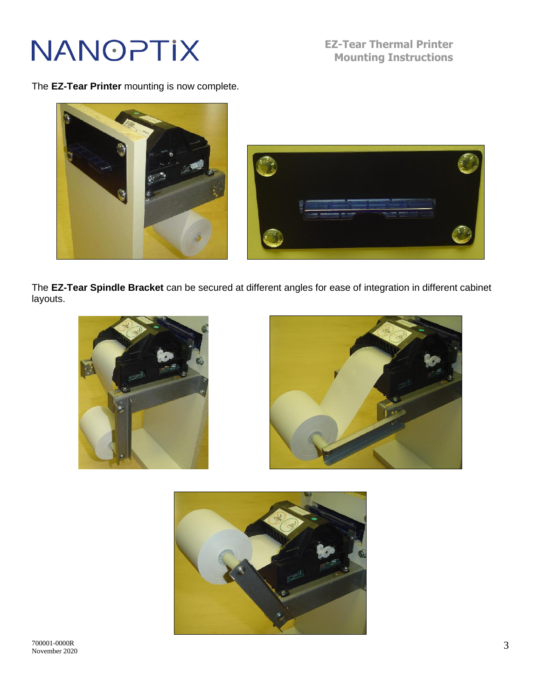**EZ-Tear Thermal Printer Mounting Instructions**

The **EZ-Tear Printer** mounting is now complete.





The **EZ-Tear Spindle Bracket** can be secured at different angles for ease of integration in different cabinet layouts.





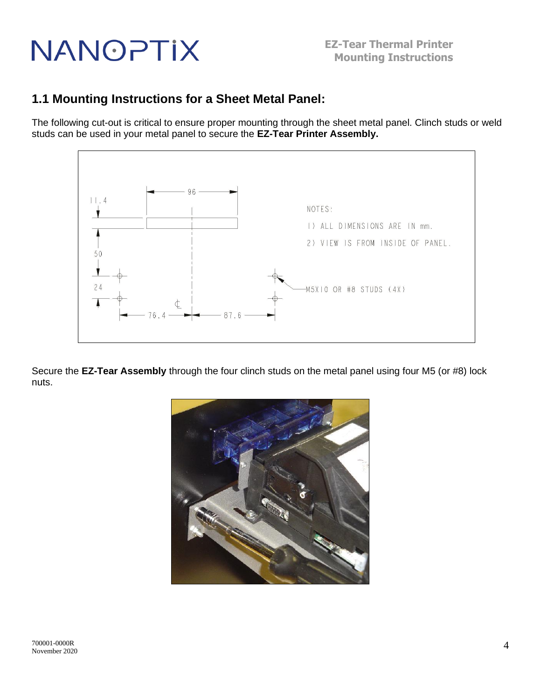### **1.1 Mounting Instructions for a Sheet Metal Panel:**

The following cut-out is critical to ensure proper mounting through the sheet metal panel. Clinch studs or weld studs can be used in your metal panel to secure the **EZ-Tear Printer Assembly.**



Secure the **EZ-Tear Assembly** through the four clinch studs on the metal panel using four M5 (or #8) lock nuts.